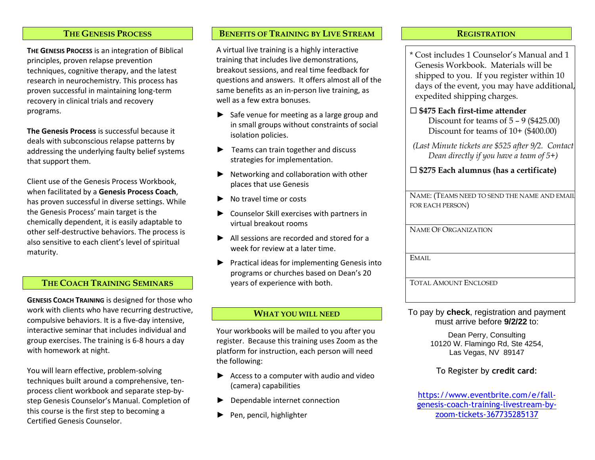#### **THE GENESIS PROCESS**

**THE GENESIS PROCESS** is an integration of Biblical principles, proven relapse prevention techniques, cognitive therapy, and the latest research in neurochemistry. This process has proven successful in maintaining long-term recovery in clinical trials and recovery programs.

**The Genesis Process** is successful because it deals with subconscious relapse patterns by addressing the underlying faulty belief systems that support them.

Client use of the Genesis Process Workbook, when facilitated by a **Genesis Process Coach**, has proven successful in diverse settings. While the Genesis Process' main target is the chemically dependent, it is easily adaptable to other self-destructive behaviors. The process is also sensitive to each client's level of spiritual maturity.

### **THE COACH TRAINING SEMINARS**

**GENESIS COACH TRAINING** is designed for those who work with clients who have recurring destructive, compulsive behaviors. It is a five-day intensive, interactive seminar that includes individual and group exercises. The training is 6-8 hours a day with homework at night.

You will learn effective, problem-solving techniques built around a comprehensive, tenprocess client workbook and separate step-bystep Genesis Counselor's Manual. Completion of this course is the first step to becoming a Certified Genesis Counselor.

### **BENEFITS OF TRAINING BY LIVE STREAM**

A virtual live training is a highly interactive training that includes live demonstrations, breakout sessions, and real time feedback for questions and answers. It offers almost all of the same benefits as an in-person live training, as well as a few extra bonuses.

- ► Safe venue for meeting as a large group and in small groups without constraints of social isolation policies.
- ► Teams can train together and discuss strategies for implementation.
- ► Networking and collaboration with other places that use Genesis
- ► No travel time or costs
- ► Counselor Skill exercises with partners in virtual breakout rooms
- ► All sessions are recorded and stored for a week for review at a later time.
- ► Practical ideas for implementing Genesis into programs or churches based on Dean's 20 years of experience with both.

#### **WHAT YOU WILL NEED**

Your workbooks will be mailed to you after you register. Because this training uses Zoom as the platform for instruction, each person will need the following:

- ► Access to a computer with audio and video (camera) capabilities
- ► Dependable internet connection
- Pen, pencil, highlighter

#### **REGISTRATION**

\* Cost includes 1 Counselor's Manual and 1 Genesis Workbook. Materials will be shipped to you. If you register within 10 days of the event, you may have additional, expedited shipping charges.

## **\$475 Each first-time attender**

 Discount for teams of 5 – 9 (\$425.00) Discount for teams of 10+ (\$400.00)

*(Last Minute tickets are \$525 after 9/2. Contact Dean directly if you have a team of 5+)*

### **\$275 Each alumnus (has a certificate)**

| NAME: (TEAMS NEED TO SEND THE NAME AND EMAIL |
|----------------------------------------------|
| FOR EACH PERSON)                             |
|                                              |
| <b>NAME OF ORGANIZATION</b>                  |
|                                              |
|                                              |
| EMAIL                                        |
|                                              |
| <b>TOTAL AMOUNT ENCLOSED</b>                 |
|                                              |

To pay by **check**, registration and payment must arrive before **9/2/22** to:

> Dean Perry, Consulting 10120 W. Flamingo Rd, Ste 4254, Las Vegas, NV 89147

### To Register by **credit card**:

[https://www.eventbrite.com/e/fall](https://www.eventbrite.com/e/fall-genesis-coach-training-livestream-by-zoom-tickets-367735285137)[genesis-coach-training-livestream-by](https://www.eventbrite.com/e/fall-genesis-coach-training-livestream-by-zoom-tickets-367735285137)[zoom-tickets-367735285137](https://www.eventbrite.com/e/fall-genesis-coach-training-livestream-by-zoom-tickets-367735285137)